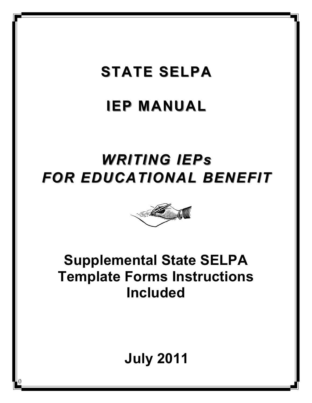# **STATE SELPA**

# **IEP MANUAL IEP MANUAL**

# WRITING IEPs *FOR EDUCATIONAL BENEFIT FOR EDUCATIONAL BENEFIT*



## **Supplemental State SELPA Template Forms Instructions Included**

# **July 2011**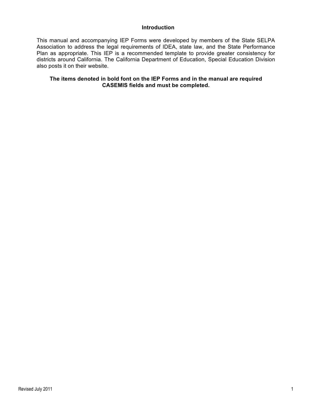#### **Introduction**

This manual and accompanying IEP Forms were developed by members of the State SELPA Association to address the legal requirements of IDEA, state law, and the State Performance Plan as appropriate. This IEP is a recommended template to provide greater consistency for districts around California. The California Department of Education, Special Education Division also posts it on their website.

## **The items denoted in bold font on the IEP Forms and in the manual are required CASEMIS fields and must be completed.**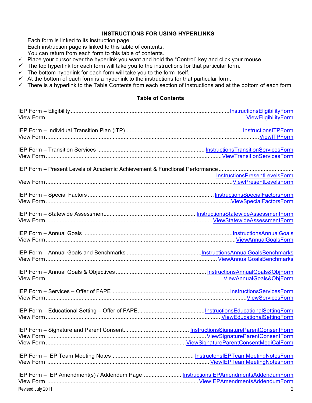## **INSTRUCTIONS FOR USING HYPERLINKS**

Each form is linked to its instruction page.

Each instruction page is linked to this table of contents.

You can return from each form to this table of contents.

- $\checkmark$  Place your cursor over the hyperlink you want and hold the "Control" key and click your mouse.
- $\checkmark$  The top hyperlink for each form will take you to the instructions for that particular form.
- $\checkmark$  The bottom hyperlink for each form will take you to the form itself.
- $\checkmark$  At the bottom of each form is a hyperlink to the instructions for that particular form.
- $\checkmark$  There is a hyperlink to the Table Contents from each section of instructions and at the bottom of each form.

## **Table of Contents**

| IEP Form - IEP Amendment(s) / Addendum Page InstructionsIEPAmendmentsAddendumForm |   |
|-----------------------------------------------------------------------------------|---|
|                                                                                   |   |
| Revised July 2011                                                                 | 2 |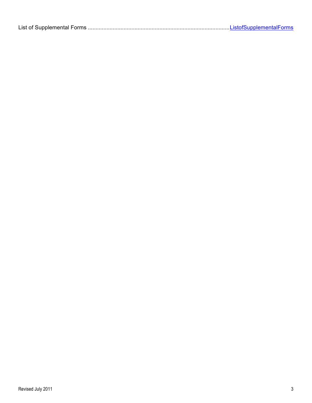|--|--|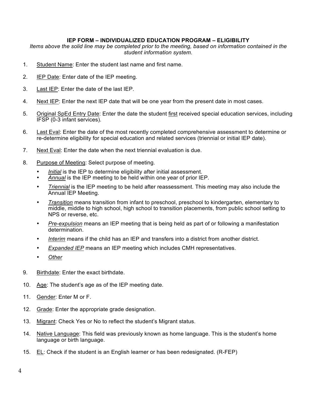### **IEP FORM – INDIVIDUALIZED EDUCATION PROGRAM – ELIGIBILITY**

*Items above the solid line may be completed prior to the meeting, based on information contained in the student information system.*

- 1. Student Name: Enter the student last name and first name.
- 2. **IEP Date: Enter date of the IEP meeting.**
- 3. Last IEP: Enter the date of the last IEP.
- 4. Next IEP: Enter the next IEP date that will be one year from the present date in most cases.
- 5. Original SpEd Entry Date: Enter the date the student first received special education services, including IFSP (0-3 infant services).
- 6. Last Eval: Enter the date of the most recently completed comprehensive assessment to determine or re-determine eligibility for special education and related services (triennial or initial IEP date).
- 7. Next Eval: Enter the date when the next triennial evaluation is due.
- 8. Purpose of Meeting: Select purpose of meeting.
	- *Initial* is the IEP to determine eligibility after initial assessment.
	- *Annual* is the IEP meeting to be held within one year of prior IEP.
	- *Triennial* is the IEP meeting to be held after reassessment. This meeting may also include the Annual IEP Meeting.
	- *Transition* means transition from infant to preschool, preschool to kindergarten, elementary to middle, middle to high school, high school to transition placements, from public school setting to NPS or reverse, etc.
	- *Pre-expulsion* means an IEP meeting that is being held as part of or following a manifestation determination.
	- *Interim* means if the child has an IEP and transfers into a district from another district.
	- *Expanded IEP* means an IEP meeting which includes CMH representatives.
	- *Other*
- 9. Birthdate: Enter the exact birthdate.
- 10. Age: The student's age as of the IEP meeting date.
- 11. Gender: Enter M or F.
- 12. Grade: Enter the appropriate grade designation.
- 13. Migrant: Check Yes or No to reflect the student's Migrant status.
- 14. Native Language: This field was previously known as home language. This is the student's home language or birth language.
- 15. EL: Check if the student is an English learner or has been redesignated. (R-FEP)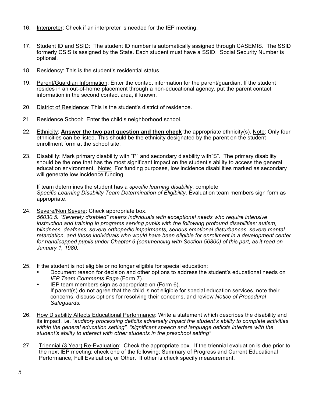- 16. Interpreter: Check if an interpreter is needed for the IEP meeting.
- 17. Student ID and SSID: The student ID number is automatically assigned through CASEMIS. The SSID formerly CSIS is assigned by the State. Each student must have a SSID. Social Security Number is optional.
- 18. Residency: This is the student's residential status.
- 19. Parent/Guardian Information: Enter the contact information for the parent/guardian. If the student resides in an out-of-home placement through a non-educational agency, put the parent contact information in the second contact area, if known.
- 20. District of Residence: This is the student's district of residence.
- 21. Residence School: Enter the child's neighborhood school.
- 22. Ethnicity: **Answer the two part question and then check** the appropriate ethnicity(s). Note: Only four ethnicities can be listed. This should be the ethnicity designated by the parent on the student enrollment form at the school site.
- 23. Disability: Mark primary disability with "P" and secondary disability with"S". The primary disability should be the one that has the most significant impact on the student's ability to access the general education environment. Note: For funding purposes, low incidence disabilities marked as secondary will generate low incidence funding.

If team determines the student has a *specific learning disability*, complete *Specific Learning Disability Team Determination of Eligibility*. Evaluation team members sign form as appropriate.

24. Severe/Non Severe: Check appropriate box.

*56030.5. "Severely disabled" means individuals with exceptional needs who require intensive instruction and training in programs serving pupils with the following profound disabilities: autism, blindness, deafness, severe orthopedic impairments, serious emotional disturbances, severe mental retardation, and those individuals who would have been eligible for enrollment in a development center for handicapped pupils under Chapter 6 (commencing with Section 56800) of this part, as it read on January 1, 1980.*

- 25. If the student is not eligible or no longer eligible for special education:
	- Document reason for decision and other options to address the student's educational needs on *IEP Team Comments Page* (Form 7).
	- IEP team members sign as appropriate on (Form 6). If parent(s) do not agree that the child is not eligible for special education services, note their concerns, discuss options for resolving their concerns, and review *Notice of Procedural Safeguards.*
- 26. How Disability Affects Educational Performance: Write a statement which describes the disability and its impact, i.e. "*auditory processing deficits adversely impact the student's ability to complete activities within the general education setting", "significant speech and language deficits interfere with the student's ability to interact with other students in the preschool setting"*
- 27. Triennial (3 Year) Re-Evaluation: Check the appropriate box. If the triennial evaluation is due prior to the next IEP meeting; check one of the following: Summary of Progress and Current Educational Performance, Full Evaluation, or Other. If other is check specify measurement.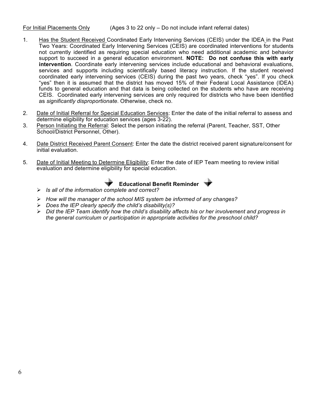## For Initial Placements Only (Ages 3 to 22 only – Do not include infant referral dates)

- 1. Has the Student Received Coordinated Early Intervening Services (CEIS) under the IDEA in the Past Two Years: Coordinated Early Intervening Services (CEIS) are coordinated interventions for students not currently identified as requiring special education who need additional academic and behavior support to succeed in a general education environment. **NOTE: Do not confuse this with early intervention**. Coordinate early intervening services include educational and behavioral evaluations, services and supports including scientifically based literacy instruction. If the student received coordinated early intervening services (CEIS) during the past two years, check "yes". If you check "yes" then it is assumed that the district has moved 15% of their Federal Local Assistance (IDEA) funds to general education and that data is being collected on the students who have are receiving CEIS. Coordinated early intervening services are only required for districts who have been identified as *significantly disproportionate*. Otherwise, check no.
- 2. Date of Initial Referral for Special Education Services: Enter the date of the initial referral to assess and determine eligibility for education services (ages 3-22).
- 3. Person Initiating the Referral: Select the person initiating the referral (Parent, Teacher, SST, Other School/District Personnel, Other).
- 4. Date District Received Parent Consent: Enter the date the district received parent signature/consent for initial evaluation.
- 5. Date of Initial Meeting to Determine Eligibility: Enter the date of IEP Team meeting to review initial evaluation and determine eligibility for special education.



- *Is all of the information complete and correct?*
- *How will the manager of the school MIS system be informed of any changes?*
- *Does the IEP clearly specify the child's disability(s)?*
- *Did the IEP Team identify how the child's disability affects his or her involvement and progress in the general curriculum or participation in appropriate activities for the preschool child?*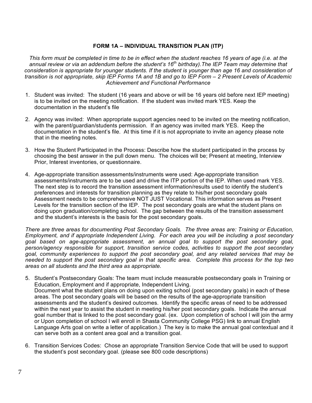### **FORM 1A – INDIVIDUAL TRANSITION PLAN (ITP)**

*This form must be completed in time to be in effect when the student reaches 16 years of age (i.e. at the annual review or via an addendum before the student's 16th birthday).The IEP Team may determine that*  consideration is appropriate for younger students. If the student is younger than age 16 and consideration of *transition is not appropriate, skip IEP Forms 1A and 1B and go to IEP Form – 2 Present Levels of Academic Achievement and Functional Performance*

- 1. Student was invited: The student (16 years and above or will be 16 years old before next IEP meeting) is to be invited on the meeting notification. If the student was invited mark YES. Keep the documentation in the student's file
- 2. Agency was invited: When appropriate support agencies need to be invited on the meeting notification, with the parent/guardian/students permission. If an agency was invited mark YES. Keep the documentation in the student's file. At this time if it is not appropriate to invite an agency please note that in the meeting notes.
- 3. How the Student Participated in the Process: Describe how the student participated in the process by choosing the best answer in the pull down menu. The choices will be; Present at meeting, Interview Prior, Interest inventories, or questionnaire.
- 4. Age-appropriate transition assessments/instruments were used: Age-appropriate transition assessments/instruments are to be used and drive the ITP portion of the IEP. When used mark YES. The next step is to record the transition assessment information/results used to identify the student's preferences and interests for transition planning as they relate to his/her post secondary goals Assessment needs to be comprehensive NOT JUST Vocational. This information serves as Present Levels for the transition section of the IEP. The post secondary goals are what the student plans on doing upon graduation/completing school. The gap between the results of the transition assessment and the student's interests is the basis for the post secondary goals.

*There are three areas for documenting Post Secondary Goals. The three areas are: Training or Education, Employment, and if appropriate Independent Living. For each area you will be including a post secondary goal based on age-appropriate assessment, an annual goal to support the post secondary goal, person/agency responsible for support, transition service codes, activities to support the post secondary goal, community experiences to support the post secondary goal, and any related services that may be needed to support the post secondary goal in that specific area. Complete this process for the top two areas on all students and the third area as appropriate.*

- 5. Student's Postsecondary Goals: The team must include measurable postsecondary goals in Training or Education, Employment and if appropriate, Independent Living. Document what the student plans on doing upon exiting school (post secondary goals) in each of these areas. The post secondary goals will be based on the results of the age-appropriate transition assessments and the student's desired outcomes. Identify the specific areas of need to be addressed within the next year to assist the student in meeting his/her post secondary goals. Indicate the annual goal number that is linked to the post secondary goal. (ex. Upon completion of school I will join the army or Upon completion of school I will enroll in Shasta Community College PSG) link to annual English Language Arts goal on write a letter of application.) The key is to make the annual goal contextual and it can serve both as a content area goal and a transition goal.
- 6. Transition Services Codes: Chose an appropriate Transition Service Code that will be used to support the student's post secondary goal. (please see 800 code descriptions)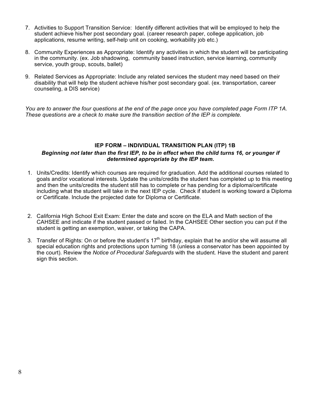- 7. Activities to Support Transition Service: Identify different activities that will be employed to help the student achieve his/her post secondary goal. (career research paper, college application, job applications, resume writing, self-help unit on cooking, workability job etc.)
- 8. Community Experiences as Appropriate: Identify any activities in which the student will be participating in the community. (ex. Job shadowing, community based instruction, service learning, community service, youth group, scouts, ballet)
- 9. Related Services as Appropriate: Include any related services the student may need based on their disability that will help the student achieve his/her post secondary goal. (ex. transportation, career counseling, a DIS service)

*You are to answer the four questions at the end of the page once you have completed page Form ITP 1A. These questions are a check to make sure the transition section of the IEP is complete.* 

## **IEP FORM – INDIVIDUAL TRANSITION PLAN (ITP) 1B** *Beginning not later than the first IEP, to be in effect when the child turns 16, or younger if determined appropriate by the IEP team.*

- 1. Units/Credits: Identify which courses are required for graduation. Add the additional courses related to goals and/or vocational interests. Update the units/credits the student has completed up to this meeting and then the units/credits the student still has to complete or has pending for a diploma/certificate including what the student will take in the next IEP cycle. Check if student is working toward a Diploma or Certificate. Include the projected date for Diploma or Certificate.
- 2. California High School Exit Exam: Enter the date and score on the ELA and Math section of the CAHSEE and indicate if the student passed or failed. In the CAHSEE Other section you can put if the student is getting an exemption, waiver, or taking the CAPA.
- 3. Transfer of Rights: On or before the student's  $17<sup>th</sup>$  birthday, explain that he and/or she will assume all special education rights and protections upon turning 18 (unless a conservator has been appointed by the court). Review the *Notice of Procedural Safeguards* with the student*.* Have the student and parent sign this section.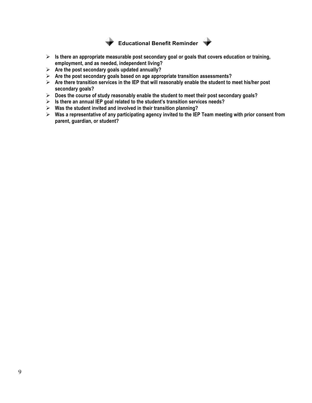

**Educational Benefit Reminder** 

- **Is there an appropriate measurable post secondary goal or goals that covers education or training, employment, and as needed, independent living?**
- **Are the post secondary goals updated annually?**
- **Are the post secondary goals based on age appropriate transition assessments?**
- **Are there transition services in the IEP that will reasonably enable the student to meet his/her post secondary goals?**
- **Does the course of study reasonably enable the student to meet their post secondary goals?**
- **Is there an annual IEP goal related to the student's transition services needs?**
- **Was the student invited and involved in their transition planning?**
- **Was a representative of any participating agency invited to the IEP Team meeting with prior consent from parent, guardian, or student?**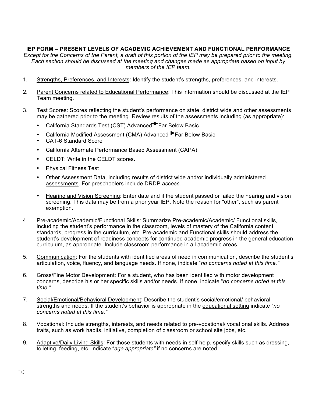## **IEP FORM – PRESENT LEVELS OF ACADEMIC ACHIEVEMENT AND FUNCTIONAL PERFORMANCE**

*Except for the Concerns of the Parent, a draft of this portion of the IEP may be prepared prior to the meeting. Each section should be discussed at the meeting and changes made as appropriate based on input by members of the IEP team.*

- 1. Strengths, Preferences, and Interests: Identify the student's strengths, preferences, and interests.
- 2. Parent Concerns related to Educational Performance: This information should be discussed at the IEP Team meeting.
- 3. Test Scores: Scores reflecting the student's performance on state, district wide and other assessments may be gathered prior to the meeting. Review results of the assessments including (as appropriate):
	- California Standards Test (CST) Advanced Far Below Basic
	- California Modified Assessment (CMA) Advanced<sup>></sup>Far Below Basic
	- CAT-6 Standard Score
	- California Alternate Performance Based Assessment (CAPA)
	- CELDT: Write in the CELDT scores.
	- Physical Fitness Test
	- Other Assessment Data, including results of district wide and/or individually administered assessments. For preschoolers include DRDP *access.*
	- Hearing and Vision Screening: Enter date and if the student passed or failed the hearing and vision screening. This data may be from a prior year IEP. Note the reason for "other", such as parent exemption.
- 4. Pre-academic/Academic/Functional Skills: Summarize Pre-academic/Academic/ Functional skills, including the student's performance in the classroom, levels of mastery of the California content standards, progress in the curriculum, etc. Pre-academic and Functional skills should address the student's development of readiness concepts for continued academic progress in the general education curriculum, as appropriate. Include classroom performance in all academic areas.
- 5. Communication: For the students with identified areas of need in communication, describe the student's articulation, voice, fluency, and language needs. If none, indicate "*no concerns noted at this time."*
- 6. Gross/Fine Motor Development: For a student, who has been identified with motor development concerns, describe his or her specific skills and/or needs. If none, indicate "*no concerns noted at this time."*
- 7. Social/Emotional/Behavioral Development: Describe the student's social/emotional/ behavioral strengths and needs. If the student's behavior is appropriate in the educational setting indicate "*no concerns noted at this time."*
- 8. Vocational: Include strengths, interests, and needs related to pre-vocational/ vocational skills. Address traits, such as work habits, initiative, completion of classroom or school site jobs, etc.
- 9. Adaptive/Daily Living Skills: For those students with needs in self-help, specify skills such as dressing, toileting, feeding, etc. Indicate "*age appropriate"* if no concerns are noted.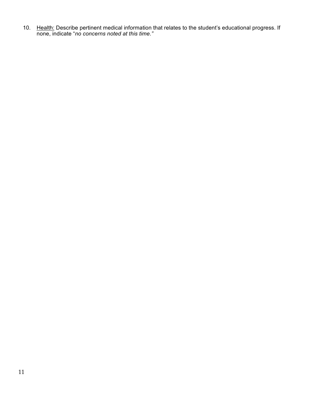10. Health: Describe pertinent medical information that relates to the student's educational progress. If none, indicate "*no concerns noted at this time."*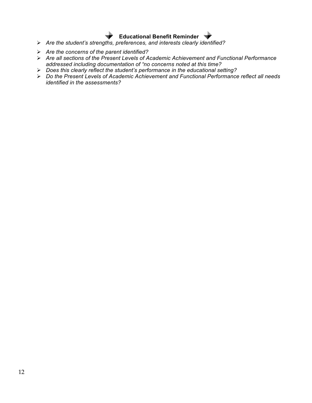## **Educational Benefit Reminder**

- *Are the student's strengths, preferences, and interests clearly identified?*
- *Are the concerns of the parent identified?*
- *Are all sections of the Present Levels of Academic Achievement and Functional Performance addressed including documentation of "no concerns noted at this time?*
- *Does this clearly reflect the student's performance in the educational setting?*
- *Do the Present Levels of Academic Achievement and Functional Performance reflect all needs identified in the assessments?*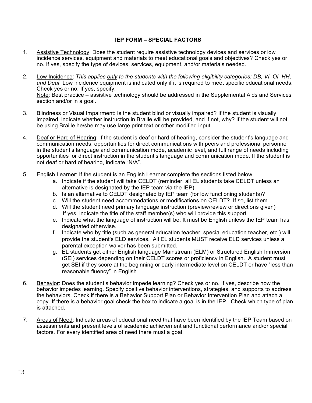## **IEP FORM – SPECIAL FACTORS**

- 1. Assistive Technology: Does the student require assistive technology devices and services or low incidence services, equipment and materials to meet educational goals and objectives? Check yes or no. If yes, specify the type of devices, services, equipment, and/or materials needed.
- 2. Low Incidence: *This applies only to the students with the following eligibility categories: DB, VI, OI, HH, and Deaf.* Low incidence equipment is indicated only if it is required to meet specific educational needs. Check yes or no. If yes, specify. Note: Best practice – assistive technology should be addressed in the Supplemental Aids and Services section and/or in a goal.
- 3. Blindness or Visual Impairment: Is the student blind or visually impaired? If the student is visually impaired, indicate whether instruction in Braille will be provided, and if not, why? If the student will not be using Braille he/she may use large print text or other modified input.
- 4. Deaf or Hard of Hearing: If the student is deaf or hard of hearing, consider the student's language and communication needs, opportunities for direct communications with peers and professional personnel in the student's language and communication mode, academic level, and full range of needs including opportunities for direct instruction in the student's language and communication mode. If the student is not deaf or hard of hearing, indicate "N/A".
- 5. English Learner: If the student is an English Learner complete the sections listed below:
	- a. Indicate if the student will take CELDT (reminder: all EL students take CELDT unless an alternative is designated by the IEP team via the IEP).
	- b. Is an alternative to CELDT designated by IEP team (for low functioning students)?
	- c. Will the student need accommodations or modifications on CELDT? If so, list them.
	- d. Will the student need primary language instruction (preview/review or directions given) If yes, indicate the title of the staff member(s) who will provide this support.
	- e. Indicate what the language of instruction will be. It must be English unless the IEP team has designated otherwise.
	- f. Indicate who by title (such as general education teacher, special education teacher, etc.) will provide the student's ELD services. All EL students MUST receive ELD services unless a parental exception waiver has been submitted.
	- g. EL students get either English language Mainstream (ELM) or Structured English Immersion (SEI) services depending on their CELDT scores or proficiency in English. A student must get SEI if they score at the beginning or early intermediate level on CELDT or have "less than reasonable fluency" in English.
- 6. Behavior: Does the student's behavior impede learning? Check yes or no. If yes, describe how the behavior impedes learning. Specify positive behavior interventions, strategies, and supports to address the behaviors. Check if there is a Behavior Support Plan or Behavior Intervention Plan and attach a copy. If there is a behavior goal check the box to indicate a goal is in the IEP. Check which type of plan is attached.
- 7. Areas of Need: Indicate areas of educational need that have been identified by the IEP Team based on assessments and present levels of academic achievement and functional performance and/or special factors. For every identified area of need there must a goal.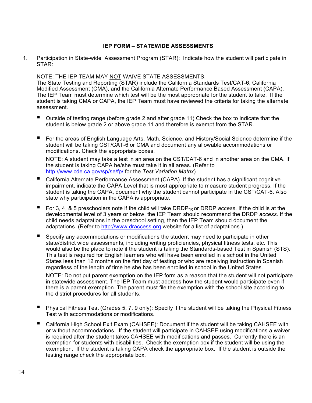## **IEP FORM – STATEWIDE ASSESSMENTS**

1. Participation in State-wide Assessment Program (STAR): Indicate how the student will participate in STAR:

NOTE: THE IEP TEAM MAY NOT WAIVE STATE ASSESSMENTS.

The State Testing and Reporting (STAR) include the California Standards Test/CAT-6, California Modified Assessment (CMA), and the California Alternate Performance Based Assessment (CAPA). The IEP Team must determine which test will be the most appropriate for the student to take. If the student is taking CMA or CAPA, the IEP Team must have reviewed the criteria for taking the alternate assessment.

- Outside of testing range (before grade 2 and after grade 11) Check the box to indicate that the student is below grade 2 or above grade 11 and therefore is exempt from the STAR.
- For the areas of English Language Arts, Math, Science, and History/Social Science determine if the student will be taking CST/CAT-6 or CMA and document any allowable accommodations or modifications. Check the appropriate boxes.

NOTE: A student may take a test in an area on the CST/CAT-6 and in another area on the CMA. If the student is taking CAPA he/she must take it in all areas. (Refer to http://www.cde.ca.gov/sp/se/fp/ for the *Test Variation Matrix*)

- California Alternate Performance Assessment (CAPA). If the student has a significant cognitive impairment, indicate the CAPA Level that is most appropriate to measure student progress. If the student is taking the CAPA, document why the student cannot participate in the CST/CAT-6. Also state why participation in the CAPA is appropriate.
- For 3, 4, & 5 preschoolers note if the child will take DRDP $_{R}$  or DRDP *access*. If the child is at the developmental level of 3 years or below, the IEP Team should recommend the DRDP *access.* If the child needs adaptations in the preschool setting, then the IEP Team should document the adaptations. (Refer to http://www.draccess.org website for a list of adaptations.)
- Specify any accommodations or modifications the student may need to participate in other state/district wide assessments, including writing proficiencies, physical fitness tests, etc. This would also be the place to note if the student is taking the Standards-based Test in Spanish (STS). This test is required for English learners who will have been enrolled in a school in the United States less than 12 months on the first day of testing or who are receiving instruction in Spanish regardless of the length of time he she has been enrolled in school in the United States.

NOTE: Do not put parent exemption on the IEP form as a reason that the student will not participate in statewide assessment. The IEP Team must address how the student would participate even if there is a parent exemption. The parent must file the exemption with the school site according to the district procedures for all students.

- Physical Fitness Test (Grades 5, 7, 9 only): Specify if the student will be taking the Physical Fitness Test with accommodations or modifications.
- California High School Exit Exam (CAHSEE): Document if the student will be taking CAHSEE with or without accommodations. If the student will participate in CAHSEE using modifications a waiver is required after the student takes CAHSEE with modifications and passes. Currently there is an exemption for students with disabilities. Check the exemption box if the student will be using the exemption. If the student is taking CAPA check the appropriate box. If the student is outside the testing range check the appropriate box.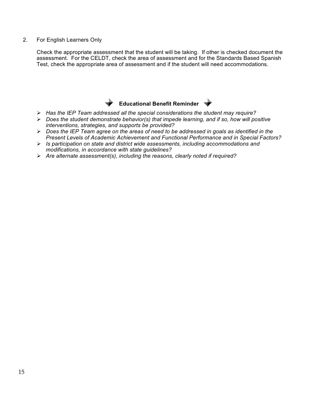2. For English Learners Only

Check the appropriate assessment that the student will be taking. If other is checked document the assessment. For the CELDT, check the area of assessment and for the Standards Based Spanish Test, check the appropriate area of assessment and if the student will need accommodations.

## **Educational Benefit Reminder**

- *Has the IEP Team addressed all the special considerations the student may require?*
- *Does the student demonstrate behavior(s) that impede learning, and if so, how will positive interventions, strategies, and supports be provided?*
- *Does the IEP Team agree on the areas of need to be addressed in goals as identified in the Present Levels of Academic Achievement and Functional Performance and in Special Factors?*
- *Is participation on state and district wide assessments, including accommodations and modifications, in accordance with state guidelines?*
- *Are alternate assessment(s), including the reasons, clearly noted if required?*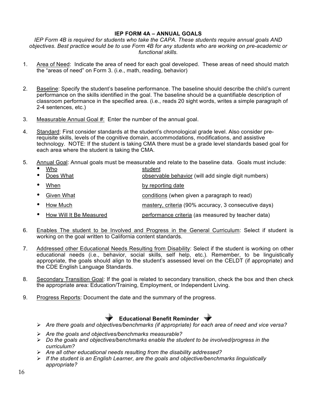## **IEP FORM 4A – ANNUAL GOALS**

*IEP Form 4B is required for students who take the CAPA. These students require annual goals AND objectives. Best practice would be to use Form 4B for any students who are working on pre-academic or functional skills.*

- 1. Area of Need: Indicate the area of need for each goal developed. These areas of need should match the "areas of need" on Form 3. (i.e., math, reading, behavior)
- 2. Baseline: Specify the student's baseline performance. The baseline should describe the child's current performance on the skills identified in the goal. The baseline should be a quantifiable description of classroom performance in the specified area. (i.e., reads 20 sight words, writes a simple paragraph of 2-4 sentences, etc.)
- 3. Measurable Annual Goal #: Enter the number of the annual goal.
- 4. Standard: First consider standards at the student's chronological grade level. Also consider prerequisite skills, levels of the cognitive domain, accommodations, modifications, and assistive technology. NOTE: If the student is taking CMA there must be a grade level standards based goal for each area where the student is taking the CMA.
- 5. Annual Goal: Annual goals must be measurable and relate to the baseline data. Goals must include:
	- Who student
	- Does What **observable behavior (will add single digit numbers)**
	- When by reporting date
	- Given What Given What conditions (when given a paragraph to read)
	- How Much **mastery, criteria (90% accuracy, 3 consecutive days)**
	- How Will It Be Measured performance criteria (as measured by teacher data)
- 6. Enables The student to be Involved and Progress in the General Curriculum: Select if student is working on the goal written to California content standards.
- 7. Addressed other Educational Needs Resulting from Disability: Select if the student is working on other educational needs (i.e., behavior, social skills, self help, etc.). Remember, to be linguistically appropriate, the goals should align to the student's assessed level on the CELDT (if appropriate) and the CDE English Language Standards.
- 8. Secondary Transition Goal: If the goal is related to secondary transition, check the box and then check the appropriate area: Education/Training, Employment, or Independent Living.
- 9. Progress Reports: Document the date and the summary of the progress.

## **Educational Benefit Reminder**

- *Are there goals and objectives/benchmarks (if appropriate) for each area of need and vice versa?*
- *Are the goals and objectives/benchmarks measurable?*
- *Do the goals and objectives/benchmarks enable the student to be involved/progress in the curriculum?*
- *Are all other educational needs resulting from the disability addressed?*
- *If the student is an English Learner, are the goals and objective/benchmarks linguistically appropriate?*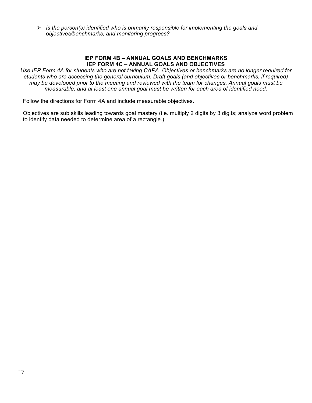*Is the person(s) identified who is primarily responsible for implementing the goals and objectives/benchmarks, and monitoring progress?*

#### **IEP FORM 4B – ANNUAL GOALS AND BENCHMARKS IEP FORM 4C – ANNUAL GOALS AND OBJECTIVES**

*Use IEP Form 4A for students who are not taking CAPA. Objectives or benchmarks are no longer required for students who are accessing the general curriculum. Draft goals (and objectives or benchmarks, if required) may be developed prior to the meeting and reviewed with the team for changes. Annual goals must be measurable, and at least one annual goal must be written for each area of identified need.*

Follow the directions for Form 4A and include measurable objectives.

Objectives are sub skills leading towards goal mastery (i.e. multiply 2 digits by 3 digits; analyze word problem to identify data needed to determine area of a rectangle.).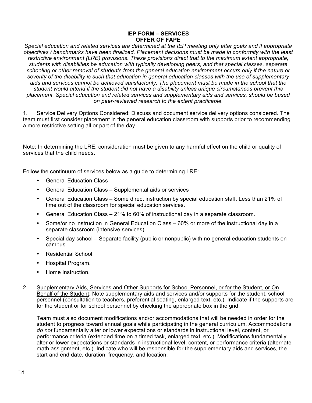#### **IEP FORM – SERVICES OFFER OF FAPE**

*Special education and related services are determined at the IEP meeting only after goals and if appropriate objectives / benchmarks have been finalized. Placement decisions must be made in conformity with the least restrictive environment (LRE) provisions. These provisions direct that to the maximum extent appropriate, students with disabilities be education with typically developing peers, and that special classes, separate schooling or other removal of students from the general education environment occurs only if the nature or severity of the disability is such that education in general education classes with the use of supplementary aids and services cannot be achieved satisfactorily. The placement must be made in the school that the student would attend if the student did not have a disability unless unique circumstances prevent this placement. Special education and related services and supplementary aids and services, should be based on peer-reviewed research to the extent practicable.*

1. Service Delivery Options Considered: Discuss and document service delivery options considered. The team must first consider placement in the general education classroom with supports prior to recommending a more restrictive setting all or part of the day.

Note: In determining the LRE, consideration must be given to any harmful effect on the child or quality of services that the child needs.

Follow the continuum of services below as a guide to determining LRE:

- General Education Class
- General Education Class Supplemental aids or services
- General Education Class Some direct instruction by special education staff. Less than 21% of time out of the classroom for special education services.
- General Education Class 21% to 60% of instructional day in a separate classroom.
- Some/or no instruction in General Education Class 60% or more of the instructional day in a separate classroom (intensive services).
- Special day school Separate facility (public or nonpublic) with no general education students on campus.
- Residential School.
- Hospital Program.
- Home Instruction.
- 2. Supplementary Aids, Services and Other Supports for School Personnel, or for the Student, or On Behalf of the Student: Note supplementary aids and services and/or supports for the student, school personnel (consultation to teachers, preferential seating, enlarged text, etc.). Indicate if the supports are for the student or for school personnel by checking the appropriate box in the grid.

Team must also document modifications and/or accommodations that will be needed in order for the student to progress toward annual goals while participating in the general curriculum. Accommodations *do not* fundamentally alter or lower expectations or standards in instructional level, content, or performance criteria (extended time on a timed task, enlarged text, etc.). Modifications fundamentally alter or lower expectations or standards in instructional level, content, or performance criteria (alternate math assignment, etc.). Indicate who will be responsible for the supplementary aids and services, the start and end date, duration, frequency, and location.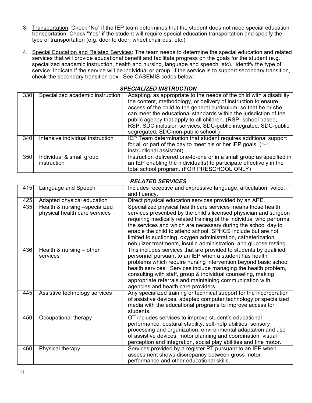- 3. Transportation: Check "No" if the IEP team determines that the student does not need special education transportation. Check "Yes" if the student will require special education transportation and specify the type of transportation (e.g. door to door, wheel chair bus, etc.)
- 4. Special Education and Related Services: The team needs to determine the special education and related services that will provide educational benefit and facilitate progress on the goals for the student (e.g. specialized academic instruction, health and nursing, language and speech, etc). Identify the type of service. Indicate if the service will be individual or group. If the service is to support secondary transition, check the secondary transition box. See CASEMIS codes below:

#### *SPECIALIZED INSTRUCTION*

| 330 | Specialized academic instruction        | Adapting, as appropriate to the needs of the child with a disability<br>the content, methodology, or delivery of instruction to ensure<br>access of the child to the general curriculum, so that he or she<br>can meet the educational standards within the jurisdiction of the<br>public agency that apply to all children. (RSP- school based,<br>RSP, SDC inclusion services, SDC-public integrated, SDC-public<br>segregated, SDC-non-public school.) |
|-----|-----------------------------------------|-----------------------------------------------------------------------------------------------------------------------------------------------------------------------------------------------------------------------------------------------------------------------------------------------------------------------------------------------------------------------------------------------------------------------------------------------------------|
| 340 | Intensive individual instruction        | IEP Team determination that student requires additional support<br>for all or part of the day to meet his or her IEP goals. (1-1)<br>instructional assistant)                                                                                                                                                                                                                                                                                             |
| 350 | Individual & small group<br>instruction | Instruction delivered one-to-one or in a small group as specified in<br>an IEP enabling the individual(s) to participate effectively in the<br>total school program. (FOR PRESCHOOL ONLY)                                                                                                                                                                                                                                                                 |

## *RELATED SERVICES*

| 415 | Language and Speech                                            | Includes receptive and expressive language, articulation, voice,<br>and fluency.                                                                                                                                                                                                                                                                                                                                                                                                  |
|-----|----------------------------------------------------------------|-----------------------------------------------------------------------------------------------------------------------------------------------------------------------------------------------------------------------------------------------------------------------------------------------------------------------------------------------------------------------------------------------------------------------------------------------------------------------------------|
| 425 | Adapted physical education                                     | Direct physical education services provided by an APE.                                                                                                                                                                                                                                                                                                                                                                                                                            |
| 435 | Health & nursing -specialized<br>physical health care services | Specialized physical health care services means those health<br>services prescribed by the child's licensed physician and surgeon<br>requiring medically related training of the individual who performs<br>the services and which are necessary during the school day to<br>enable the child to attend school. SPHCS include but are not<br>limited to suctioning, oxygen administration, catheterization,<br>nebulizer treatments, insulin administration, and glucose testing. |
| 436 | Health & nursing $-$ other<br>services                         | This includes services that are provided to students by qualified<br>personnel pursuant to an IEP when a student has health<br>problems which require nursing intervention beyond basic school<br>health services. Services include managing the health problem,<br>consulting with staff, group & individual counseling, making<br>appropriate referrals and maintaining communication with<br>agencies and health care providers.                                               |
| 445 | Assistive technology services                                  | Any specialized training or technical support for the incorporation<br>of assistive devices, adapted computer technology or specialized<br>media with the educational programs to improve access for<br>students.                                                                                                                                                                                                                                                                 |
| 450 | Occupational therapy                                           | OT includes services to improve student's educational<br>performance, postural stability, self-help abilities, sensory<br>processing and organization, environmental adaptation and use<br>of assistive devices, motor planning and coordination, visual<br>perception and integration, social play abilities and fine motor.                                                                                                                                                     |
| 460 | Physical therapy                                               | Services provided by a register PT pursuant to an IEP when<br>assessment shows discrepancy between gross motor<br>performance and other educational skills.                                                                                                                                                                                                                                                                                                                       |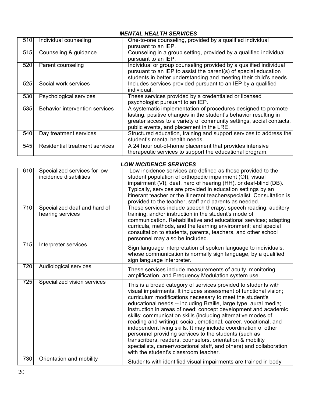## *MENTAL HEALTH SERVICES*

| 510 | Individual counseling                 | One-to-one counseling, provided by a qualified individual<br>pursuant to an IEP.                                                                                                                                                                     |
|-----|---------------------------------------|------------------------------------------------------------------------------------------------------------------------------------------------------------------------------------------------------------------------------------------------------|
| 515 | Counseling & guidance                 | Counseling in a group setting, provided by a qualified individual<br>pursuant to an IEP.                                                                                                                                                             |
| 520 | Parent counseling                     | Individual or group counseling provided by a qualified individual<br>pursuant to an IEP to assist the parent(s) of special education<br>students in better understanding and meeting their child's needs.                                            |
| 525 | Social work services                  | Includes services provided pursuant to an IEP by a qualified<br>individual.                                                                                                                                                                          |
| 530 | Psychological services                | These services provided by a credentialed or licensed<br>psychologist pursuant to an IEP.                                                                                                                                                            |
| 535 | <b>Behavior intervention services</b> | A systematic implementation of procedures designed to promote<br>lasting, positive changes in the student's behavior resulting in<br>greater access to a variety of community settings, social contacts,<br>public events, and placement in the LRE. |
| 540 | Day treatment services                | Structured education, training and support services to address the<br>student's mental health needs.                                                                                                                                                 |
| 545 | <b>Residential treatment services</b> | A 24 hour out-of-home placement that provides intensive<br>therapeutic services to support the educational program.                                                                                                                                  |

## *LOW INCIDENCE SERVICES*

| 610 | Specialized services for low<br>incidence disabilities | Low incidence services are defined as those provided to the<br>student population of orthopedic impairment (OI), visual<br>impairment (VI), deaf, hard of hearing (HH), or deaf-blind (DB).<br>Typically, services are provided in education settings by an<br>itinerant teacher or the itinerant teacher/specialist. Consultation is<br>provided to the teacher, staff and parents as needed.                                                                                                                                                                                                                                                                                                                                                                                    |
|-----|--------------------------------------------------------|-----------------------------------------------------------------------------------------------------------------------------------------------------------------------------------------------------------------------------------------------------------------------------------------------------------------------------------------------------------------------------------------------------------------------------------------------------------------------------------------------------------------------------------------------------------------------------------------------------------------------------------------------------------------------------------------------------------------------------------------------------------------------------------|
| 710 | Specialized deaf and hard of<br>hearing services       | These services include speech therapy, speech reading, auditory<br>training, and/or instruction in the student's mode of<br>communication. Rehabilitative and educational services; adapting<br>curricula, methods, and the learning environment; and special<br>consultation to students, parents, teachers, and other school<br>personnel may also be included.                                                                                                                                                                                                                                                                                                                                                                                                                 |
| 715 | Interpreter services                                   | Sign language interpretation of spoken language to individuals,<br>whose communication is normally sign language, by a qualified<br>sign language interpreter.                                                                                                                                                                                                                                                                                                                                                                                                                                                                                                                                                                                                                    |
| 720 | <b>Audiological services</b>                           | These services include measurements of acuity, monitoring<br>amplification, and Frequency Modulation system use.                                                                                                                                                                                                                                                                                                                                                                                                                                                                                                                                                                                                                                                                  |
| 725 | Specialized vision services                            | This is a broad category of services provided to students with<br>visual impairments. It includes assessment of functional vision;<br>curriculum modifications necessary to meet the student's<br>educational needs -- including Braille, large type, aural media;<br>instruction in areas of need; concept development and academic<br>skills; communication skills (including alternative modes of<br>reading and writing); social, emotional, career, vocational, and<br>independent living skills. It may include coordination of other<br>personnel providing services to the students (such as<br>transcribers, readers, counselors, orientation & mobility<br>specialists, career/vocational staff, and others) and collaboration<br>with the student's classroom teacher. |
| 730 | Orientation and mobility                               | Students with identified visual impairments are trained in body                                                                                                                                                                                                                                                                                                                                                                                                                                                                                                                                                                                                                                                                                                                   |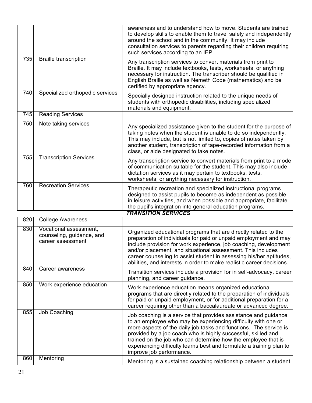|     |                                 | awareness and to understand how to move. Students are trained<br>to develop skills to enable them to travel safely and independently<br>around the school and in the community. It may include<br>consultation services to parents regarding their children requiring<br>such services according to an IEP.                  |
|-----|---------------------------------|------------------------------------------------------------------------------------------------------------------------------------------------------------------------------------------------------------------------------------------------------------------------------------------------------------------------------|
| 735 | <b>Braille transcription</b>    | Any transcription services to convert materials from print to<br>Braille. It may include textbooks, tests, worksheets, or anything<br>necessary for instruction. The transcriber should be qualified in<br>English Braille as well as Nemeth Code (mathematics) and be<br>certified by appropriate agency.                   |
| 740 | Specialized orthopedic services | Specially designed instruction related to the unique needs of<br>students with orthopedic disabilities, including specialized<br>materials and equipment.                                                                                                                                                                    |
| 745 | <b>Reading Services</b>         |                                                                                                                                                                                                                                                                                                                              |
| 750 | Note taking services            | Any specialized assistance given to the student for the purpose of<br>taking notes when the student is unable to do so independently.<br>This may include, but is not limited to, copies of notes taken by<br>another student, transcription of tape-recorded information from a<br>class, or aide designated to take notes. |
| 755 | <b>Transcription Services</b>   | Any transcription service to convert materials from print to a mode<br>of communication suitable for the student. This may also include<br>dictation services as it may pertain to textbooks, tests,<br>worksheets, or anything necessary for instruction.                                                                   |
| 760 | <b>Recreation Services</b>      | Therapeutic recreation and specialized instructional programs<br>designed to assist pupils to become as independent as possible<br>in leisure activities, and when possible and appropriate, facilitate<br>the pupil's integration into general education programs.                                                          |
|     |                                 | <b>TRANSITION SERVICES</b>                                                                                                                                                                                                                                                                                                   |

| 820 | <b>College Awareness</b>                                                 |                                                                                                                                                                                                                                                                                                                                                                                                                                             |
|-----|--------------------------------------------------------------------------|---------------------------------------------------------------------------------------------------------------------------------------------------------------------------------------------------------------------------------------------------------------------------------------------------------------------------------------------------------------------------------------------------------------------------------------------|
| 830 | Vocational assessment,<br>counseling, guidance, and<br>career assessment | Organized educational programs that are directly related to the<br>preparation of individuals for paid or unpaid employment and may<br>include provision for work experience, job coaching, development<br>and/or placement, and situational assessment. This includes<br>career counseling to assist student in assessing his/her aptitudes,<br>abilities, and interests in order to make realistic career decisions.                      |
| 840 | Career awareness                                                         | Transition services include a provision for in self-advocacy, career<br>planning, and career guidance.                                                                                                                                                                                                                                                                                                                                      |
| 850 | Work experience education                                                | Work experience education means organized educational<br>programs that are directly related to the preparation of individuals<br>for paid or unpaid employment, or for additional preparation for a<br>career requiring other than a baccalaureate or advanced degree.                                                                                                                                                                      |
| 855 | Job Coaching                                                             | Job coaching is a service that provides assistance and guidance<br>to an employee who may be experiencing difficulty with one or<br>more aspects of the daily job tasks and functions. The service is<br>provided by a job coach who is highly successful, skilled and<br>trained on the job who can determine how the employee that is<br>experiencing difficulty learns best and formulate a training plan to<br>improve job performance. |
| 860 | Mentoring                                                                | Mentoring is a sustained coaching relationship between a student                                                                                                                                                                                                                                                                                                                                                                            |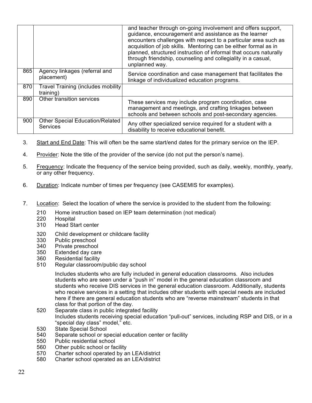|     |                                                           | and teacher through on-going involvement and offers support,<br>guidance, encouragement and assistance as the learner<br>encounters challenges with respect to a particular area such as<br>acquisition of job skills. Mentoring can be either formal as in<br>planned, structured instruction of informal that occurs naturally<br>through friendship, counseling and collegiality in a casual,<br>unplanned way. |
|-----|-----------------------------------------------------------|--------------------------------------------------------------------------------------------------------------------------------------------------------------------------------------------------------------------------------------------------------------------------------------------------------------------------------------------------------------------------------------------------------------------|
| 865 | Agency linkages (referral and<br>placement)               | Service coordination and case management that facilitates the<br>linkage of individualized education programs.                                                                                                                                                                                                                                                                                                     |
| 870 | <b>Travel Training (includes mobility</b><br>training)    |                                                                                                                                                                                                                                                                                                                                                                                                                    |
| 890 | Other transition services                                 | These services may include program coordination, case<br>management and meetings, and crafting linkages between<br>schools and between schools and post-secondary agencies.                                                                                                                                                                                                                                        |
| 900 | <b>Other Special Education/Related</b><br><b>Services</b> | Any other specialized service required for a student with a<br>disability to receive educational benefit.                                                                                                                                                                                                                                                                                                          |

- 3. Start and End Date: This will often be the same start/end dates for the primary service on the IEP.
- 4. Provider: Note the title of the provider of the service (do not put the person's name).
- 5. Frequency: Indicate the frequency of the service being provided, such as daily, weekly, monthly, yearly, or any other frequency.
- 6. Duration: Indicate number of times per frequency (see CASEMIS for examples).
- 7. Location: Select the location of where the service is provided to the student from the following:
	- 210 Home instruction based on IEP team determination (not medical)<br>220 Hospital
	- 220 Hospital<br>310 Head Sta
	- Head Start center
	- 320 Child development or childcare facility
	- 330 Public preschool<br>340 Private preschool
	- 340 Private preschool<br>350 Extended day care
	- Extended day care
	- 360 Residential facility
	- 510 Regular classroom/public day school

Includes students who are fully included in general education classrooms. Also includes students who are seen under a "push in" model in the general education classroom and students who receive DIS services in the general education classroom. Additionally, students who receive services in a setting that includes other students with special needs are included here if there are general education students who are "reverse mainstream" students in that class for that portion of the day.

- 520 Separate class in public integrated facility Includes students receiving special education "pull-out" services, including RSP and DIS, or in a "special day class" model," etc.
- 530 State Special School
- 540 Separate school or special education center or facility
- 550 Public residential school
- 560 Other public school or facility
- 570 Charter school operated by an LEA/district
- 580 Charter school operated as an LEA/district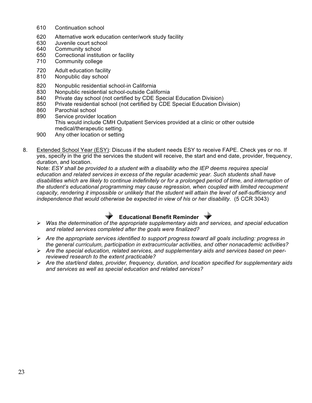- 610 Continuation school
- 620 Alternative work education center/work study facility
- 630 Juvenile court school
- 640 Community school
- 650 Correctional institution or facility
- 710 Community college
- 720 Adult education facility
- 810 Nonpublic day school
- 820 Nonpublic residential school-in California
- 830 Nonpublic residential school-outside California
- 840 Private day school (not certified by CDE Special Education Division)
- 850 Private residential school (not certified by CDE Special Education Division)
- 860 Parochial school
- 890 Service provider location This would include CMH Outpatient Services provided at a clinic or other outside medical/therapeutic setting.
- 900 Any other location or setting
- 8. Extended School Year (ESY): Discuss if the student needs ESY to receive FAPE. Check yes or no. If yes, specify in the grid the services the student will receive, the start and end date, provider, frequency, duration, and location.

Note: *ESY shall be provided to a student with a disability who the IEP deems requires special education and related services in excess of the regular academic year. Such students shall have disabilities which are likely to continue indefinitely or for a prolonged period of time, and interruption of the student's educational programming may cause regression, when coupled with limited recoupment capacity, rendering it impossible or unlikely that the student will attain the level of self-sufficiency and independence that would otherwise be expected in view of his or her disability.* (5 CCR 3043)



- *Was the determination of the appropriate supplementary aids and services, and special education and related services completed after the goals were finalized?*
- *Are the appropriate services identified to support progress toward all goals including: progress in the general curriculum, participation in extracurricular activities, and other nonacademic activities?*
- *Are the special education, related services, and supplementary aids and services based on peerreviewed research to the extent practicable?*
- *Are the start/end dates, provider, frequency, duration, and location specified for supplementary aids and services as well as special education and related services?*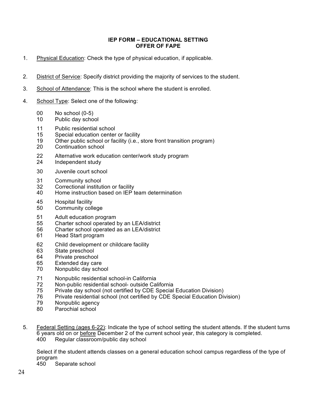#### **IEP FORM – EDUCATIONAL SETTING OFFER OF FAPE**

- 1. Physical Education: Check the type of physical education, if applicable.
- 2. District of Service: Specify district providing the majority of services to the student.
- 3. School of Attendance: This is the school where the student is enrolled.
- 4. School Type: Select one of the following:
	- No school (0-5)
	- Public day school
	- Public residential school
	- Special education center or facility
	- Other public school or facility (i.e., store front transition program)
	- Continuation school
	- Alternative work education center/work study program
	- Independent study
	- Juvenile court school
	- Community school
	- Correctional institution or facility
	- Home instruction based on IEP team determination
	- Hospital facility
	- Community college
	- Adult education program
	- Charter school operated by an LEA/district
	- Charter school operated as an LEA/district
	- Head Start program
	- Child development or childcare facility
	- State preschool
	- Private preschool
	- Extended day care
	- Nonpublic day school
	- Nonpublic residential school-in California
	- Non-public residential school- outside California
	- Private day school (not certified by CDE Special Education Division)
	- Private residential school (not certified by CDE Special Education Division)
	- Nonpublic agency
	- Parochial school
- 5. Federal Setting (ages 6-22): Indicate the type of school setting the student attends. If the student turns 6 years old on or before December 2 of the current school year, this category is completed. Regular classroom/public day school

Select if the student attends classes on a general education school campus regardless of the type of program

Separate school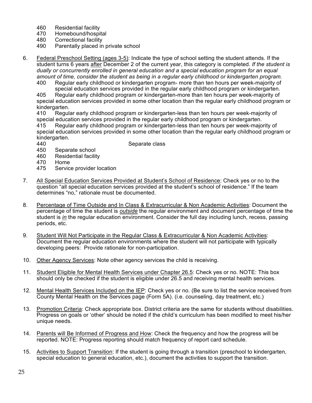- 460 Residential facility
- 470 Homebound/hospital
- 480 Correctional facility
- 490 Parentally placed in private school
- 6. Federal Preschool Setting (ages 3-5): Indicate the type of school setting the student attends. If the student turns 6 years after December 2 of the current year, this category is completed. *If the student is dually or concurrently enrolled in general education and a special education program for an equal amount of time, consider the student as being in a regular early childhood or kindergarten program.* 
	- 400 Regular early childhood or kindergarten program- more than ten hours per week-majority of special education services provided in the regular early childhood program or kindergarten.

405 Regular early childhood program or kindergarten-more than ten hours per week-majority of special education services provided in some other location than the regular early childhood program or kindergarten.

410 Regular early childhood program or kindergarten-less than ten hours per week-majority of special education services provided in the regular early childhood program or kindergarten.

415 Regular early childhood program or kindergarten-less than ten hours per week-majority of special education services provided in some other location than the regular early childhood program or kindergarten.

440 Separate class

- 450 Separate school
- 460 Residential facility
- 470 Home
- 475 Service provider location
- 7. All Special Education Services Provided at Student's School of Residence: Check yes or no to the question "all special education services provided at the student's school of residence." If the team determines "no," rationale must be documented.
- 8. Percentage of Time Outside and In Class & Extracurricular & Non Academic Activities: Document the percentage of time the student is *outside* the regular environment and document percentage of time the student is *in* the regular education environment. Consider the full day including lunch, recess, passing periods, etc.
- 9. Student Will Not Participate in the Regular Class & Extracurricular & Non Academic Activities: Document the regular education environments where the student will not participate with typically developing peers: Provide rationale for non-participation.
- 10. Other Agency Services: Note other agency services the child is receiving.
- 11. Student Eligible for Mental Health Services under Chapter 26.5: Check yes or no. NOTE: This box should only be checked if the student is eligible under 26.5 and receiving mental health services.
- 12. Mental Health Services Included on the IEP: Check yes or no. (Be sure to list the service received from County Mental Health on the Services page (Form 5A). (i.e. counseling, day treatment, etc.)
- 13. Promotion Criteria: Check appropriate box. District criteria are the same for students without disabilities. Progress on goals or 'other' should be noted if the child's curriculum has been modified to meet his/her unique needs.
- 14. Parents will Be Informed of Progress and How: Check the frequency and how the progress will be reported. NOTE: Progress reporting should match frequency of report card schedule.
- 15. Activities to Support Transition: If the student is going through a transition (preschool to kindergarten, special education to general education, etc.), document the activities to support the transition.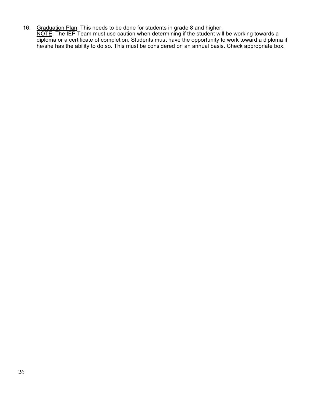16. Graduation Plan: This needs to be done for students in grade 8 and higher. NOTE: The IEP Team must use caution when determining if the student will be working towards a diploma or a certificate of completion. Students must have the opportunity to work toward a diploma if he/she has the ability to do so. This must be considered on an annual basis. Check appropriate box.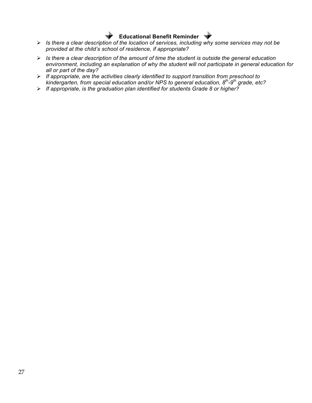## **Educational Benefit Reminder**

- *Is there a clear description of the location of services, including why some services may not be provided at the child's school of residence, if appropriate?*
- *Is there a clear description of the amount of time the student is outside the general education environment, including an explanation of why the student will not participate in general education for all or part of the day?*
- *If appropriate, are the activities clearly identified to support transition from preschool to kindergarten, from special education and/or NPS to general education, 8th-9th grade, etc?*
- *If appropriate, is the graduation plan identified for students Grade 8 or higher?*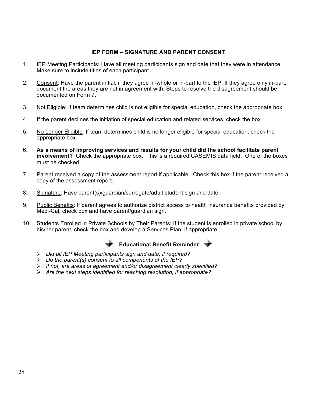### **IEP FORM – SIGNATURE AND PARENT CONSENT**

- 1. IEP Meeting Participants: Have all meeting participants sign and date that they were in attendance. Make sure to include titles of each participant.
- 2. Consent: Have the parent initial, if they agree in-whole or in-part to the IEP. If they agree only in-part, document the areas they are not in agreement with. Steps to resolve the disagreement should be documented on Form 7.
- 3. Not Eligible: If team determines child is not eligible for special education, check the appropriate box.
- 4. If the parent declines the initiation of special education and related services, check the box.
- 5. No Longer Eligible: If team determines child is no longer eligible for special education, check the appropriate box.
- 6. **As a means of improving services and results for your child did the school facilitate parent involvement?** Check the appropriate box. This is a required CASEMIS data field. One of the boxes must be checked.
- 7. Parent received a copy of the assessment report if applicable. Check this box if the parent received a copy of the assessment report.
- 8. Signature: Have parent(s)/guardian/surrogate/adult student sign and date.
- 9. Public Benefits: If parent agrees to authorize district access to health insurance benefits provided by Medi-Cal, check box and have parent/guardian sign.
- 10. Students Enrolled in Private Schools by Their Parents: If the student is enrolled in private school by his/her parent, check the box and develop a Services Plan, if appropriate.





- *Did all IEP Meeting participants sign and date, if required?*
- *Do the parent(s) consent to all components of the IEP?*
- *If not, are areas of agreement and/or disagreement clearly specified?*
- *Are the next steps identified for reaching resolution, if appropriate?*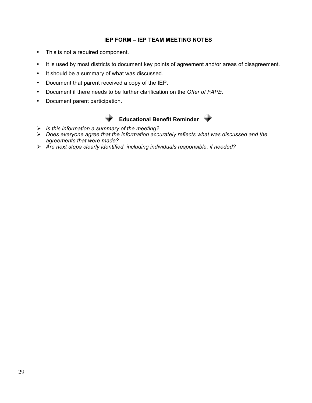## **IEP FORM – IEP TEAM MEETING NOTES**

- This is not a required component.
- It is used by most districts to document key points of agreement and/or areas of disagreement.
- It should be a summary of what was discussed.
- Document that parent received a copy of the IEP.
- Document if there needs to be further clarification on the *Offer of FAPE*.
- Document parent participation.





- *Is this information a summary of the meeting?*
- *Does everyone agree that the information accurately reflects what was discussed and the agreements that were made?*
- *Are next steps clearly identified, including individuals responsible, if needed?*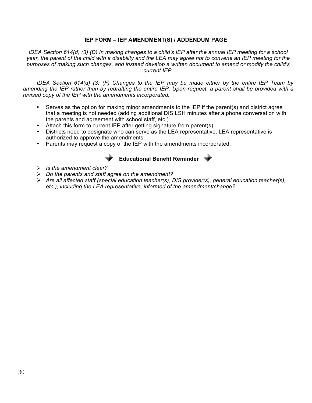### **IEP FORM – IEP AMENDMENT(S) / ADDENDUM PAGE**

*IDEA Section 614(d) (3) (D) In making changes to a child's IEP after the annual IEP meeting for a school year, the parent of the child with a disability and the LEA may agree not to convene an IEP meeting for the purposes of making such changes, and instead develop a written document to amend or modify the child's current IEP.*

*IDEA Section 614(d) (3) (F) Changes to the IEP may be made either by the entire IEP Team by amending the IEP rather than by redrafting the entire IEP. Upon request, a parent shall be provided with a revised copy of the IEP with the amendments incorporated.*

- Serves as the option for making minor amendments to the IEP if the parent(s) and district agree that a meeting is not needed (adding additional DIS LSH minutes after a phone conversation with the parents and agreement with school staff, etc.)
- Attach this form to current IEP after getting signature from parent(s).
- Districts need to designate who can serve as the LEA representative. LEA representative is authorized to approve the amendments.
- Parents may request a copy of the IEP with the amendments incorporated.



## **Educational Benefit Reminder**

- *Is the amendment clear?*
- *Do the parents and staff agree on the amendment?*
- *Are all affected staff (special education teacher(s), DIS provider(s), general education teacher(s), etc.), including the LEA representative, informed of the amendment/change?*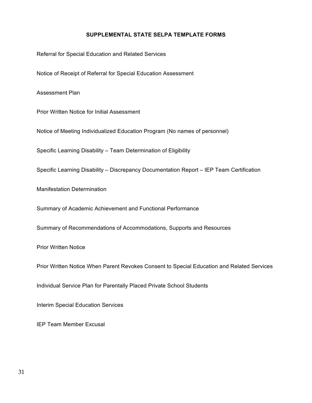## **SUPPLEMENTAL STATE SELPA TEMPLATE FORMS**

Referral for Special Education and Related Services

Notice of Receipt of Referral for Special Education Assessment

Assessment Plan

Prior Written Notice for Initial Assessment

Notice of Meeting Individualized Education Program (No names of personnel)

Specific Learning Disability – Team Determination of Eligibility

Specific Learning Disability – Discrepancy Documentation Report – IEP Team Certification

Manifestation Determination

Summary of Academic Achievement and Functional Performance

Summary of Recommendations of Accommodations, Supports and Resources

Prior Written Notice

Prior Written Notice When Parent Revokes Consent to Special Education and Related Services

Individual Service Plan for Parentally Placed Private School Students

Interim Special Education Services

IEP Team Member Excusal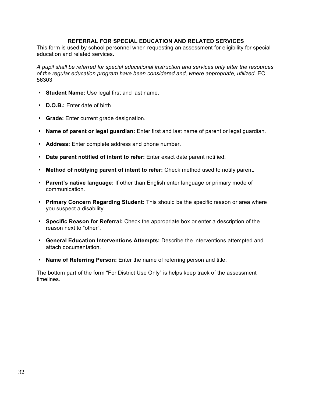### **REFERRAL FOR SPECIAL EDUCATION AND RELATED SERVICES**

This form is used by school personnel when requesting an assessment for eligibility for special education and related services.

*A pupil shall be referred for special educational instruction and services only after the resources of the regular education program have been considered and, where appropriate, utilized.* EC 56303

- **Student Name:** Use legal first and last name.
- **D.O.B.:** Enter date of birth
- **Grade:** Enter current grade designation.
- **Name of parent or legal guardian:** Enter first and last name of parent or legal guardian.
- **Address:** Enter complete address and phone number.
- **Date parent notified of intent to refer:** Enter exact date parent notified.
- **Method of notifying parent of intent to refer:** Check method used to notify parent.
- **Parent's native language:** If other than English enter language or primary mode of communication.
- **Primary Concern Regarding Student:** This should be the specific reason or area where you suspect a disability.
- **Specific Reason for Referral:** Check the appropriate box or enter a description of the reason next to "other".
- **General Education Interventions Attempts:** Describe the interventions attempted and attach documentation.
- **Name of Referring Person:** Enter the name of referring person and title.

The bottom part of the form "For District Use Only" is helps keep track of the assessment timelines.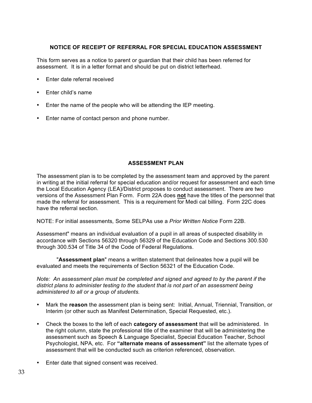## **NOTICE OF RECEIPT OF REFERRAL FOR SPECIAL EDUCATION ASSESSMENT**

This form serves as a notice to parent or guardian that their child has been referred for assessment. It is in a letter format and should be put on district letterhead.

- Enter date referral received
- Enter child's name
- Enter the name of the people who will be attending the IEP meeting.
- Enter name of contact person and phone number.

## **ASSESSMENT PLAN**

The assessment plan is to be completed by the assessment team and approved by the parent in writing at the initial referral for special education and/or request for assessment and each time the Local Education Agency (LEA)/District proposes to conduct assessment. There are two versions of the Assessment Plan Form. Form 22A does **not** have the titles of the personnel that made the referral for assessment. This is a requirement for Medi cal billing. Form 22C does have the referral section.

NOTE: For initial assessments*,* Some SELPAs use a *Prior Written Notice* Form 22B.

Assessment" means an individual evaluation of a pupil in all areas of suspected disability in accordance with Sections 56320 through 56329 of the Education Code and Sections 300.530 through 300.534 of Title 34 of the Code of Federal Regulations.

 "**Assessment plan**" means a written statement that delineates how a pupil will be evaluated and meets the requirements of Section 56321 of the Education Code.

*Note: An assessment plan must be completed and signed and agreed to by the parent if the district plans to administer testing to the student that is not part of an assessment being administered to all or a group of students.* 

- Mark the **reason** the assessment plan is being sent: Initial, Annual, Triennial, Transition, or Interim (or other such as Manifest Determination, Special Requested, etc.).
- Check the boxes to the left of each **category of assessment** that will be administered. In the right column, state the professional title of the examiner that will be administering the assessment such as Speech & Language Specialist, Special Education Teacher, School Psychologist, NPA, etc. For **"alternate means of assessment"** list the alternate types of assessment that will be conducted such as criterion referenced, observation.
- Enter date that signed consent was received.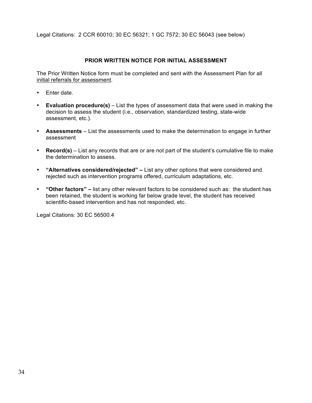Legal Citations: 2 CCR 60010; 30 EC 56321; 1 GC 7572; 30 EC 56043 (see below)

## **PRIOR WRITTEN NOTICE FOR INITIAL ASSESSMENT**

The Prior Written Notice form must be completed and sent with the Assessment Plan for all initial referrals for assessment.

- Enter date.
- **Evaluation procedure(s)** *–* List the types of assessment data that were used in making the decision to assess the student (i.e., observation, standardized testing, state-wide assessment, etc.).
- **Assessments** *–* List the assessments used to make the determination to engage in further assessment
- **Record(s)** List any records that are or are not part of the student's cumulative file to make the determination to assess.
- **"Alternatives considered/rejected" –** List any other options that were considered and rejected such as intervention programs offered, curriculum adaptations, etc.
- **"Other factors" –** list any other relevant factors to be considered such as: the student has been retained, the student is working far below grade level, the student has received scientific-based intervention and has not responded, etc.

Legal Citations: 30 EC 56500.4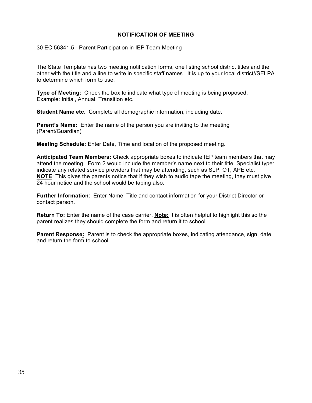### **NOTIFICATION OF MEETING**

30 EC 56341.5 - Parent Participation in IEP Team Meeting

The State Template has two meeting notification forms, one listing school district titles and the other with the title and a line to write in specific staff names. It is up to your local district//SELPA to determine which form to use.

**Type of Meeting:** Check the box to indicate what type of meeting is being proposed. Example: Initial, Annual, Transition etc.

**Student Name etc.** Complete all demographic information, including date.

**Parent's Name:** Enter the name of the person you are inviting to the meeting (Parent/Guardian)

**Meeting Schedule:** Enter Date, Time and location of the proposed meeting.

**Anticipated Team Members:** Check appropriate boxes to indicate IEP team members that may attend the meeting. Form 2 would include the member's name next to their title. Specialist type: indicate any related service providers that may be attending, such as SLP, OT, APE etc. **NOTE**: This gives the parents notice that if they wish to audio tape the meeting, they must give 24 hour notice and the school would be taping also.

**Further Information**: Enter Name, Title and contact information for your District Director or contact person.

**Return To:** Enter the name of the case carrier. **Note;** It is often helpful to highlight this so the parent realizes they should complete the form and return it to school.

**Parent Response:** Parent is to check the appropriate boxes, indicating attendance, sign, date and return the form to school.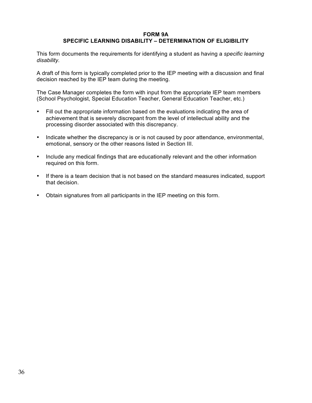#### **FORM 9A**

## **SPECIFIC LEARNING DISABILITY – DETERMINATION OF ELIGIBILITY**

This form documents the requirements for identifying a student as having a *specific learning disability.*

A draft of this form is typically completed prior to the IEP meeting with a discussion and final decision reached by the IEP team during the meeting.

The Case Manager completes the form with input from the appropriate IEP team members (School Psychologist, Special Education Teacher, General Education Teacher, etc.)

- Fill out the appropriate information based on the evaluations indicating the area of achievement that is severely discrepant from the level of intellectual ability and the processing disorder associated with this discrepancy.
- Indicate whether the discrepancy is or is not caused by poor attendance, environmental, emotional, sensory or the other reasons listed in Section III.
- Include any medical findings that are educationally relevant and the other information required on this form.
- If there is a team decision that is not based on the standard measures indicated, support that decision.
- Obtain signatures from all participants in the IEP meeting on this form.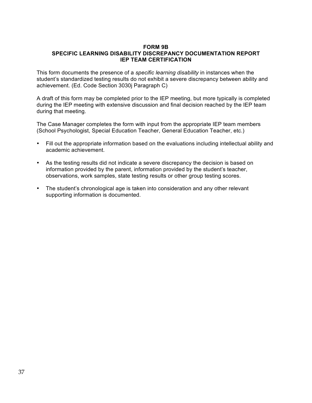#### **FORM 9B SPECIFIC LEARNING DISABILITY DISCREPANCY DOCUMENTATION REPORT IEP TEAM CERTIFICATION**

This form documents the presence of a *specific learning disability* in instances when the student's standardized testing results do not exhibit a severe discrepancy between ability and achievement. (Ed. Code Section 3030j Paragraph C)

A draft of this form may be completed prior to the IEP meeting, but more typically is completed during the IEP meeting with extensive discussion and final decision reached by the IEP team during that meeting.

The Case Manager completes the form with input from the appropriate IEP team members (School Psychologist, Special Education Teacher, General Education Teacher, etc.)

- Fill out the appropriate information based on the evaluations including intellectual ability and academic achievement.
- As the testing results did not indicate a severe discrepancy the decision is based on information provided by the parent, information provided by the student's teacher, observations, work samples, state testing results or other group testing scores.
- The student's chronological age is taken into consideration and any other relevant supporting information is documented.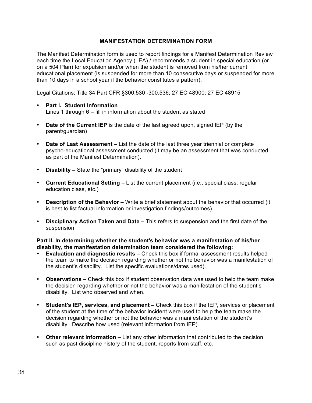### **MANIFESTATION DETERMINATION FORM**

The Manifest Determination form is used to report findings for a Manifest Determination Review each time the Local Education Agency (LEA) / recommends a student in special education (or on a 504 Plan) for expulsion and/or when the student is removed from his/her current educational placement (is suspended for more than 10 consecutive days or suspended for more than 10 days in a school year if the behavior constitutes a pattern).

Legal Citations: Title 34 Part CFR §300.530 -300.536; 27 EC 48900; 27 EC 48915

- **Part I. Student Information** Lines 1 through 6 – fill in information about the student as stated
- **Date of the Current IEP** is the date of the last agreed upon, signed IEP (by the parent/guardian)
- **Date of Last Assessment –** List the date of the last three year triennial or complete psycho-educational assessment conducted (it may be an assessment that was conducted as part of the Manifest Determination).
- **Disability –** State the "primary" disability of the student
- **Current Educational Setting**  List the current placement (i.e., special class, regular education class, etc.)
- **Description of the Behavior –** Write a brief statement about the behavior that occurred (it is best to list factual information or investigation findings/outcomes)
- **Disciplinary Action Taken and Date –** This refers to suspension and the first date of the suspension

#### **Part II. In determining whether the student's behavior was a manifestation of his/her disability, the manifestation determination team considered the following:**

- **Evaluation and diagnostic results –** Check this box if formal assessment results helped the team to make the decision regarding whether or not the behavior was a manifestation of the student's disability. List the specific evaluations/dates used).
- **Observations –** Check this box if student observation data was used to help the team make the decision regarding whether or not the behavior was a manifestation of the student's disability. List who observed and when.
- **Student's IEP, services, and placement –** Check this box if the IEP, services or placement of the student at the time of the behavior incident were used to help the team make the decision regarding whether or not the behavior was a manifestation of the student's disability. Describe how used (relevant information from IEP).
- **Other relevant information –** List any other information that contributed to the decision such as past discipline history of the student, reports from staff, etc.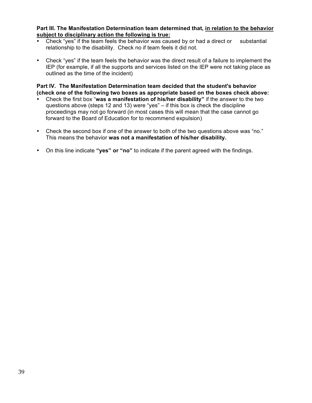#### **Part III. The Manifestation Determination team determined that, in relation to the behavior subject to disciplinary action the following is true:**

- Check "yes" if the team feels the behavior was caused by or had a direct or substantial relationship to the disability. Check no if team feels it did not.
- Check "yes" if the team feels the behavior was the direct result of a failure to implement the IEP (for example, if all the supports and services listed on the IEP were not taking place as outlined as the time of the incident)

**Part IV. The Manifestation Determination team decided that the student's behavior (check one of the following two boxes as appropriate based on the boxes check above:**

- Check the first box "**was a manifestation of his/her disability"** if the answer to the two questions above (steps 12 and 13) were "yes" – if this box is check the discipline proceedings may not go forward (in most cases this will mean that the case cannot go forward to the Board of Education for to recommend expulsion)
- Check the second box if one of the answer to both of the two questions above was "no." This means the behavior **was not a manifestation of his/her disability.**
- On this line indicate **"yes" or "no"** to indicate if the parent agreed with the findings.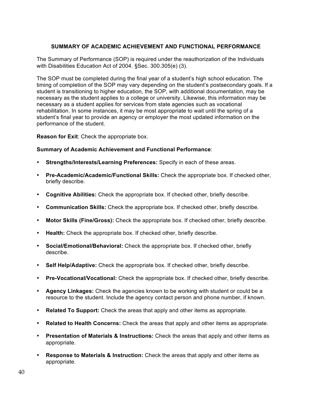## **SUMMARY OF ACADEMIC ACHIEVEMENT AND FUNCTIONAL PERFORMANCE**

The Summary of Performance (SOP) is required under the reauthorization of the Individuals with Disabilities Education Act of 2004. §Sec. 300.305(e) (3).

The SOP must be completed during the final year of a student's high school education. The timing of completion of the SOP may vary depending on the student's postsecondary goals. If a student is transitioning to higher education, the SOP, with additional documentation, may be necessary as the student applies to a college or university. Likewise, this information may be necessary as a student applies for services from state agencies such as vocational rehabilitation. In some instances, it may be most appropriate to wait until the spring of a student's final year to provide an agency or employer the most updated information on the performance of the student.

**Reason for Exit**: Check the appropriate box.

#### **Summary of Academic Achievement and Functional Performance**:

- **Strengths/Interests/Learning Preferences:** Specify in each of these areas.
- **Pre-Academic/Academic/Functional Skills:** Check the appropriate box. If checked other, briefly describe.
- **Cognitive Abilities:** Check the appropriate box. If checked other, briefly describe.
- **Communication Skills:** Check the appropriate box. If checked other, briefly describe.
- **Motor Skills (Fine/Gross):** Check the appropriate box. If checked other, briefly describe.
- **Health:** Check the appropriate box. If checked other, briefly describe.
- **Social/Emotional/Behavioral:** Check the appropriate box. If checked other, briefly describe.
- **Self Help/Adaptive:** Check the appropriate box. If checked other, briefly describe.
- **Pre-Vocational/Vocational:** Check the appropriate box. If checked other, briefly describe.
- **Agency Linkages:** Check the agencies known to be working with student or could be a resource to the student. Include the agency contact person and phone number, if known.
- **Related To Support:** Check the areas that apply and other items as appropriate.
- **Related to Health Concerns:** Check the areas that apply and other items as appropriate.
- **Presentation of Materials & Instructions:** Check the areas that apply and other items as appropriate.
- **Response to Materials & Instruction:** Check the areas that apply and other items as appropriate.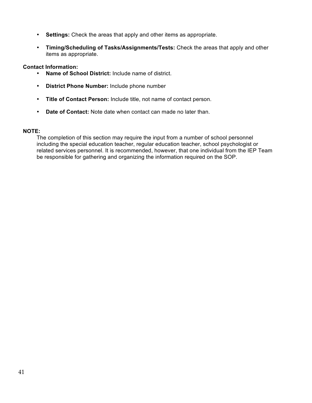- **Settings:** Check the areas that apply and other items as appropriate.
- **Timing/Scheduling of Tasks/Assignments/Tests:** Check the areas that apply and other items as appropriate.

## **Contact Information:**

- **Name of School District:** Include name of district.
- **District Phone Number:** Include phone number
- **Title of Contact Person:** Include title, not name of contact person.
- **Date of Contact:** Note date when contact can made no later than.

## **NOTE:**

The completion of this section may require the input from a number of school personnel including the special education teacher, regular education teacher, school psychologist or related services personnel. It is recommended, however, that one individual from the IEP Team be responsible for gathering and organizing the information required on the SOP.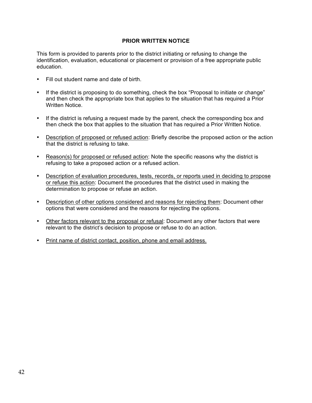## **PRIOR WRITTEN NOTICE**

This form is provided to parents prior to the district initiating or refusing to change the identification, evaluation, educational or placement or provision of a free appropriate public education.

- Fill out student name and date of birth.
- If the district is proposing to do something, check the box "Proposal to initiate or change" and then check the appropriate box that applies to the situation that has required a Prior Written Notice.
- If the district is refusing a request made by the parent, check the corresponding box and then check the box that applies to the situation that has required a Prior Written Notice.
- Description of proposed or refused action: Briefly describe the proposed action or the action that the district is refusing to take.
- Reason(s) for proposed or refused action: Note the specific reasons why the district is refusing to take a proposed action or a refused action.
- Description of evaluation procedures, tests, records, or reports used in deciding to propose or refuse this action: Document the procedures that the district used in making the determination to propose or refuse an action.
- Description of other options considered and reasons for rejecting them: Document other options that were considered and the reasons for rejecting the options.
- Other factors relevant to the proposal or refusal: Document any other factors that were relevant to the district's decision to propose or refuse to do an action.
- Print name of district contact, position, phone and email address.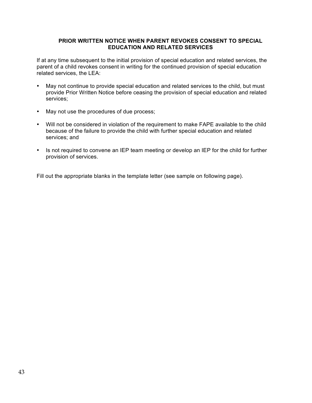## **PRIOR WRITTEN NOTICE WHEN PARENT REVOKES CONSENT TO SPECIAL EDUCATION AND RELATED SERVICES**

If at any time subsequent to the initial provision of special education and related services, the parent of a child revokes consent in writing for the continued provision of special education related services, the LEA:

- May not continue to provide special education and related services to the child, but must provide Prior Written Notice before ceasing the provision of special education and related services;
- May not use the procedures of due process;
- Will not be considered in violation of the requirement to make FAPE available to the child because of the failure to provide the child with further special education and related services; and
- Is not required to convene an IEP team meeting or develop an IEP for the child for further provision of services.

Fill out the appropriate blanks in the template letter (see sample on following page).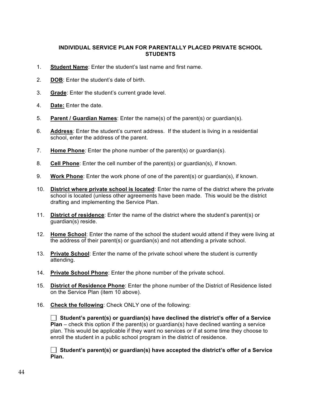## **INDIVIDUAL SERVICE PLAN FOR PARENTALLY PLACED PRIVATE SCHOOL STUDENTS**

- 1. **Student Name**: Enter the student's last name and first name.
- 2. **DOB**: Enter the student's date of birth.
- 3. **Grade**: Enter the student's current grade level.
- 4. **Date:** Enter the date.
- 5. **Parent / Guardian Names**: Enter the name(s) of the parent(s) or guardian(s).
- 6. **Address**: Enter the student's current address. If the student is living in a residential school, enter the address of the parent.
- 7. **Home Phone***:* Enter the phone number of the parent(s) or guardian(s).
- 8. **Cell Phone**: Enter the cell number of the parent(s) or guardian(s), if known.
- 9. **Work Phone**: Enter the work phone of one of the parent(s) or guardian(s), if known.
- 10. **District where private school is located**: Enter the name of the district where the private school is located (unless other agreements have been made. This would be the district drafting and implementing the Service Plan.
- 11. **District of residence**: Enter the name of the district where the student's parent(s) or guardian(s) reside.
- 12. **Home School**: Enter the name of the school the student would attend if they were living at the address of their parent(s) or guardian(s) and not attending a private school.
- 13. **Private School**: Enter the name of the private school where the student is currently attending.
- 14. **Private School Phone**: Enter the phone number of the private school.
- 15. **District of Residence Phone**: Enter the phone number of the District of Residence listed on the Service Plan (item 10 above).
- 16. **Check the following**: Check ONLY one of the following:

 **Student's parent(s) or guardian(s) have declined the district's offer of a Service Plan** – check this option if the parent(s) or guardian(s) have declined wanting a service plan. This would be applicable if they want no services or if at some time they choose to enroll the student in a public school program in the district of residence.

 **Student's parent(s) or guardian(s) have accepted the district's offer of a Service Plan.**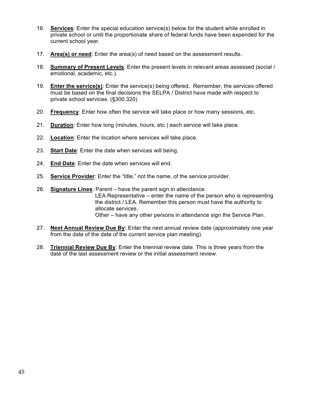- 16. **Services**: Enter the special education service(s) below for the student while enrolled in private school or until the proportionate share of federal funds have been expended for the current school year.
- 17. **Area(s) or need**: Enter the area(s) of need based on the assessment results.
- 18. **Summary of Present Levels**: Enter the present levels in relevant areas assessed (social / emotional, academic, etc.).
- 19. **Enter the service(s)**: Enter the service(s) being offered. Remember, the services offered must be based on the final decisions the SELPA / District have made with respect to private school services. (§300.320)
- 20. **Frequency**: Enter how often the service will take place or how many sessions, etc.
- 21. **Duration**: Enter how long (minutes, hours, etc.) each service will take place.
- 22. **Location**: Enter the location where services will take place.
- 23. **Start Date**: Enter the date when services will being.
- 24. **End Date**: Enter the date when services will end.
- 25. **Service Provider**: Enter the "title," not the name, of the service provider.
- 26. **Signature Lines**: Parent have the parent sign in attendance. LEA Representative – enter the name of the person who is representing the district / LEA. Remember this person must have the authority to allocate services. Other – have any other persons in attendance sign the Service Plan.
- 27. **Next Annual Review Due By**: Enter the next annual review date (approximately one year from the date of the date of the current service plan meeting).
- 28. **Triennial Review Due By**: Enter the triennial review date. This is three years from the date of the last assessment review or the initial assessment review.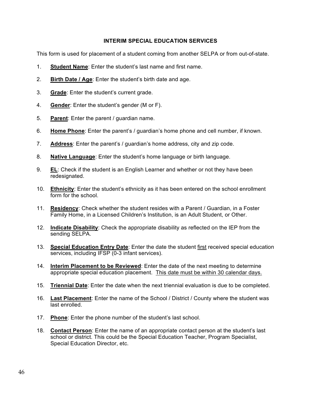## **INTERIM SPECIAL EDUCATION SERVICES**

This form is used for placement of a student coming from another SELPA or from out-of-state.

- 1. **Student Name**: Enter the student's last name and first name.
- 2. **Birth Date / Age**: Enter the student's birth date and age.
- 3. **Grade**: Enter the student's current grade.
- 4. **Gender**: Enter the student's gender (M or F).
- 5. **Parent**: Enter the parent / guardian name.
- 6. **Home Phone**: Enter the parent's / guardian's home phone and cell number, if known.
- 7. **Address**: Enter the parent's / guardian's home address, city and zip code.
- 8. **Native Language**: Enter the student's home language or birth language.
- 9. **EL**: Check if the student is an English Learner and whether or not they have been redesignated.
- 10. **Ethnicity**: Enter the student's ethnicity as it has been entered on the school enrollment form for the school.
- 11. **Residency**: Check whether the student resides with a Parent / Guardian, in a Foster Family Home, in a Licensed Children's Institution, is an Adult Student, or Other.
- 12. **Indicate Disability**: Check the appropriate disability as reflected on the IEP from the sending SELPA.
- 13. **Special Education Entry Date**: Enter the date the student first received special education services, including IFSP (0-3 infant services).
- 14. **Interim Placement to be Reviewed**: Enter the date of the next meeting to determine appropriate special education placement. This date must be within 30 calendar days.
- 15. **Triennial Date**: Enter the date when the next triennial evaluation is due to be completed.
- 16. **Last Placement**: Enter the name of the School / District / County where the student was last enrolled.
- 17. **Phone**: Enter the phone number of the student's last school.
- 18. **Contact Person**: Enter the name of an appropriate contact person at the student's last school or district. This could be the Special Education Teacher, Program Specialist, Special Education Director, etc.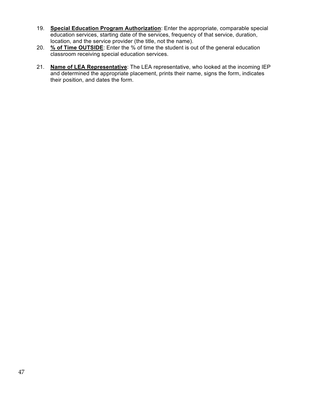- 19. **Special Education Program Authorization**: Enter the appropriate, comparable special education services, starting date of the services, frequency of that service, duration, location, and the service provider (the title, not the name).
- 20. **% of Time OUTSIDE**: Enter the % of time the student is out of the general education classroom receiving special education services.
- 21. **Name of LEA Representative**: The LEA representative, who looked at the incoming IEP and determined the appropriate placement, prints their name, signs the form, indicates their position, and dates the form.